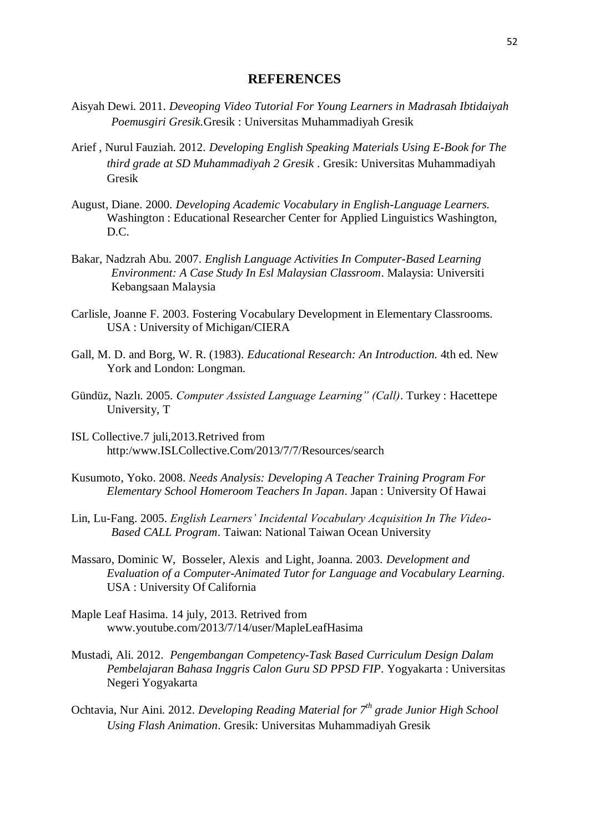## **REFERENCES**

- Aisyah Dewi. 2011. *Deveoping Video Tutorial For Young Learners in Madrasah Ibtidaiyah Poemusgiri Gresik.*Gresik : Universitas Muhammadiyah Gresik
- Arief , Nurul Fauziah. 2012. *Developing English Speaking Materials Using E-Book for The third grade at SD Muhammadiyah 2 Gresik* . Gresik: Universitas Muhammadiyah Gresik
- August, Diane. 2000. *Developing Academic Vocabulary in English-Language Learners.* Washington : Educational Researcher Center for Applied Linguistics Washington, D.C.
- Bakar, Nadzrah Abu. 2007. *English Language Activities In Computer-Based Learning Environment: A Case Study In Esl Malaysian Classroom*. Malaysia: Universiti Kebangsaan Malaysia
- Carlisle, Joanne F. 2003. Fostering Vocabulary Development in Elementary Classrooms. USA : University of Michigan/CIERA
- Gall, M. D. and Borg, W. R. (1983). *Educational Research: An Introduction.* 4th ed. New York and London: Longman.
- Gündüz, Nazlı. 2005. *Computer Assisted Language Learning" (Call)*. Turkey : Hacettepe University, T
- ISL Collective.7 juli,2013.Retrived from http:/www.ISLCollective.Com/2013/7/7/Resources/search
- Kusumoto, Yoko. 2008. *Needs Analysis: Developing A Teacher Training Program For Elementary School Homeroom Teachers In Japan*. Japan : University Of Hawai
- Lin, Lu-Fang. 2005. *English Learners' Incidental Vocabulary Acquisition In The Video-Based CALL Program*. Taiwan: National Taiwan Ocean University
- Massaro, Dominic W, Bosseler, Alexis and Light, Joanna. 2003. *Development and Evaluation of a Computer-Animated Tutor for Language and Vocabulary Learning.*  USA : University Of California
- Maple Leaf Hasima. 14 july, 2013. Retrived from www.youtube.com/2013/7/14/user/MapleLeafHasima
- Mustadi, Ali. 2012. *Pengembangan Competency-Task Based Curriculum Design Dalam Pembelajaran Bahasa Inggris Calon Guru SD PPSD FIP*. Yogyakarta : Universitas Negeri Yogyakarta
- Ochtavia, Nur Aini. 2012. *Developing Reading Material for 7th grade Junior High School Using Flash Animation*. Gresik: Universitas Muhammadiyah Gresik